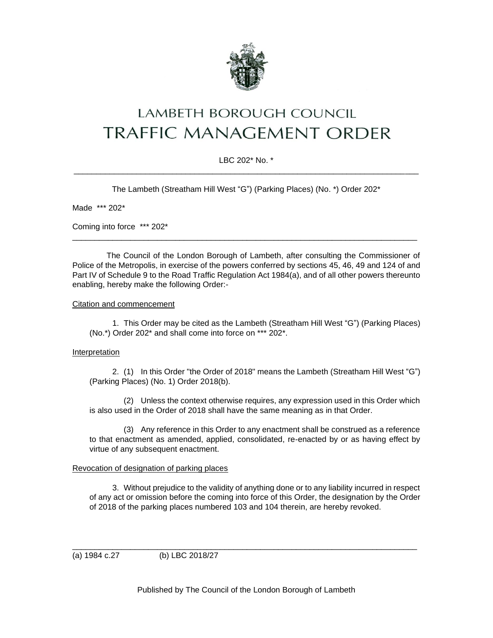

# LAMBETH BOROUGH COUNCIL **TRAFFIC MANAGEMENT ORDER**

# LBC 202\* No. \* \_\_\_\_\_\_\_\_\_\_\_\_\_\_\_\_\_\_\_\_\_\_\_\_\_\_\_\_\_\_\_\_\_\_\_\_\_\_\_\_\_\_\_\_\_\_\_\_\_\_\_\_\_\_\_\_\_\_\_\_\_\_\_\_\_\_\_\_\_\_\_\_\_\_\_\_\_

The Lambeth (Streatham Hill West "G") (Parking Places) (No. \*) Order 202\*

Made \*\*\* 202\*

Coming into force \*\*\* 202\*

The Council of the London Borough of Lambeth, after consulting the Commissioner of Police of the Metropolis, in exercise of the powers conferred by sections 45, 46, 49 and 124 of and Part IV of Schedule 9 to the Road Traffic Regulation Act 1984(a), and of all other powers thereunto enabling, hereby make the following Order:-

\_\_\_\_\_\_\_\_\_\_\_\_\_\_\_\_\_\_\_\_\_\_\_\_\_\_\_\_\_\_\_\_\_\_\_\_\_\_\_\_\_\_\_\_\_\_\_\_\_\_\_\_\_\_\_\_\_\_\_\_\_\_\_\_\_\_\_\_\_\_\_\_\_\_\_\_\_

#### Citation and commencement

1. This Order may be cited as the Lambeth (Streatham Hill West "G") (Parking Places) (No.\*) Order 202\* and shall come into force on \*\*\* 202\*.

## Interpretation

2. (1) In this Order "the Order of 2018" means the Lambeth (Streatham Hill West "G") (Parking Places) (No. 1) Order 2018(b).

(2) Unless the context otherwise requires, any expression used in this Order which is also used in the Order of 2018 shall have the same meaning as in that Order.

(3) Any reference in this Order to any enactment shall be construed as a reference to that enactment as amended, applied, consolidated, re-enacted by or as having effect by virtue of any subsequent enactment.

## Revocation of designation of parking places

3. Without prejudice to the validity of anything done or to any liability incurred in respect of any act or omission before the coming into force of this Order, the designation by the Order of 2018 of the parking places numbered 103 and 104 therein, are hereby revoked.

(a) 1984 c.27 (b) LBC 2018/27

Published by The Council of the London Borough of Lambeth

\_\_\_\_\_\_\_\_\_\_\_\_\_\_\_\_\_\_\_\_\_\_\_\_\_\_\_\_\_\_\_\_\_\_\_\_\_\_\_\_\_\_\_\_\_\_\_\_\_\_\_\_\_\_\_\_\_\_\_\_\_\_\_\_\_\_\_\_\_\_\_\_\_\_\_\_\_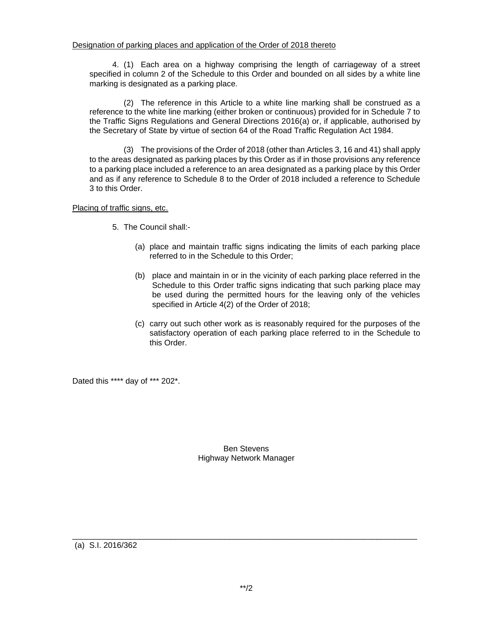4. (1) Each area on a highway comprising the length of carriageway of a street specified in column 2 of the Schedule to this Order and bounded on all sides by a white line marking is designated as a parking place.

(2) The reference in this Article to a white line marking shall be construed as a reference to the white line marking (either broken or continuous) provided for in Schedule 7 to the Traffic Signs Regulations and General Directions 2016(a) or, if applicable, authorised by the Secretary of State by virtue of section 64 of the Road Traffic Regulation Act 1984.

(3) The provisions of the Order of 2018 (other than Articles 3, 16 and 41) shall apply to the areas designated as parking places by this Order as if in those provisions any reference to a parking place included a reference to an area designated as a parking place by this Order and as if any reference to Schedule 8 to the Order of 2018 included a reference to Schedule 3 to this Order.

Placing of traffic signs, etc.

- 5. The Council shall:-
	- (a) place and maintain traffic signs indicating the limits of each parking place referred to in the Schedule to this Order;
	- (b) place and maintain in or in the vicinity of each parking place referred in the Schedule to this Order traffic signs indicating that such parking place may be used during the permitted hours for the leaving only of the vehicles specified in Article 4(2) of the Order of 2018;
	- (c) carry out such other work as is reasonably required for the purposes of the satisfactory operation of each parking place referred to in the Schedule to this Order.

Dated this \*\*\*\* day of \*\*\* 202\*.

Ben Stevens Highway Network Manager

(a) S.I. 2016/362

\_\_\_\_\_\_\_\_\_\_\_\_\_\_\_\_\_\_\_\_\_\_\_\_\_\_\_\_\_\_\_\_\_\_\_\_\_\_\_\_\_\_\_\_\_\_\_\_\_\_\_\_\_\_\_\_\_\_\_\_\_\_\_\_\_\_\_\_\_\_\_\_\_\_\_\_\_